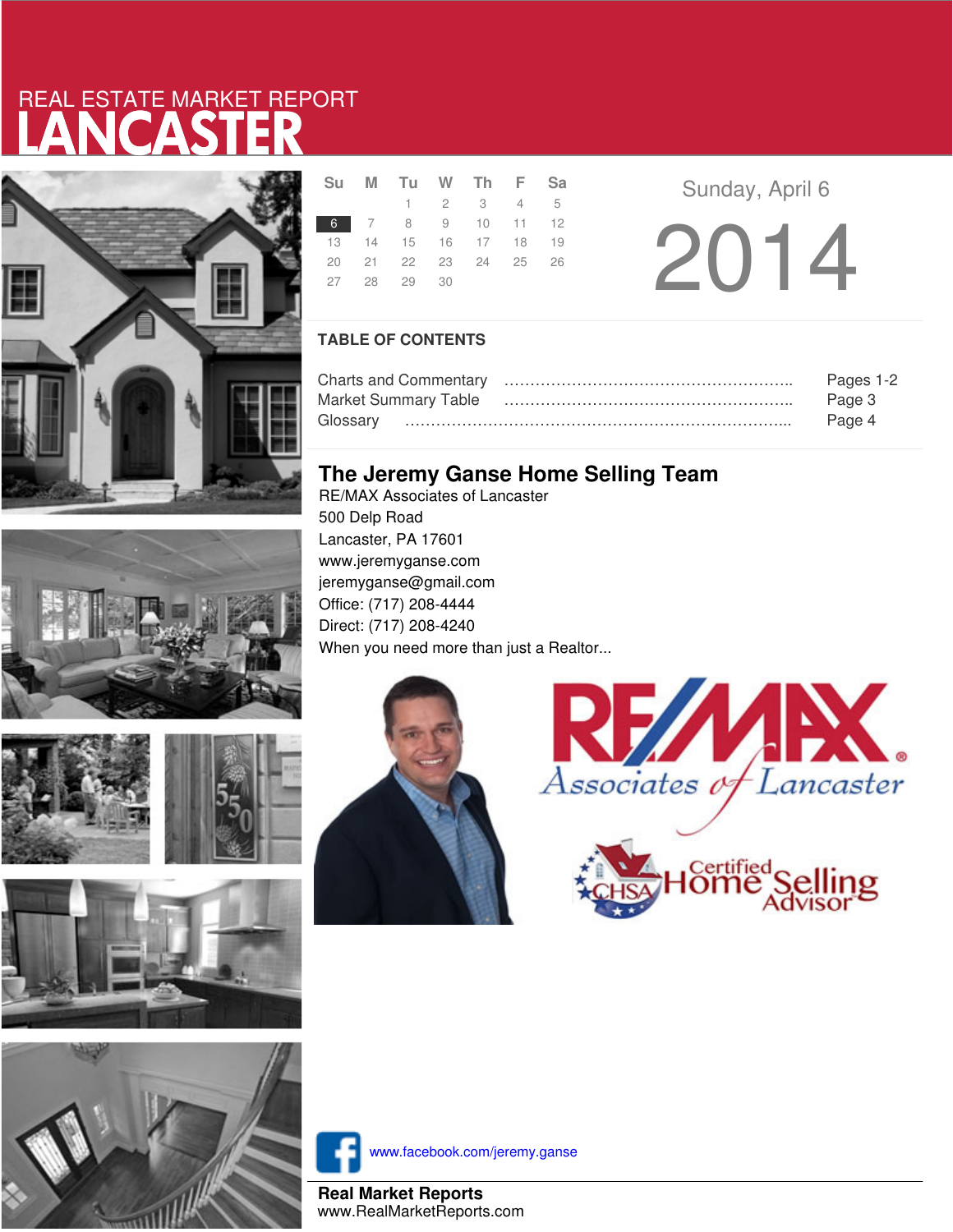# LANCASTER REAL ESTATE MARKET REPORT









|  | Su M Tu W Th F Sa    |                     |  |  |
|--|----------------------|---------------------|--|--|
|  |                      | $1 \t2 \t3 \t4 \t5$ |  |  |
|  | 6 7 8 9 10 11 12     |                     |  |  |
|  | 13 14 15 16 17 18 19 |                     |  |  |
|  | 20 21 22 23 24 25 26 |                     |  |  |
|  | 27 28 29 30          |                     |  |  |
|  |                      |                     |  |  |

**Sunday, April 6** 2014

### **TABLE OF CONTENTS**

| Pages 1-2 |
|-----------|
| Page 3    |
| Page 4    |

## **The Jeremy Ganse Home Selling Team**

RE/MAX Associates of Lancaster 500 Delp Road Lancaster, PA 17601 www.jeremyganse.com jeremyganse@gmail.com Office: (717) 208-4444 Direct: (717) 208-4240 When you need more than just a Realtor...







www.facebook.com/jeremy.ganse

**Real Market Reports** www.RealMarketReports.com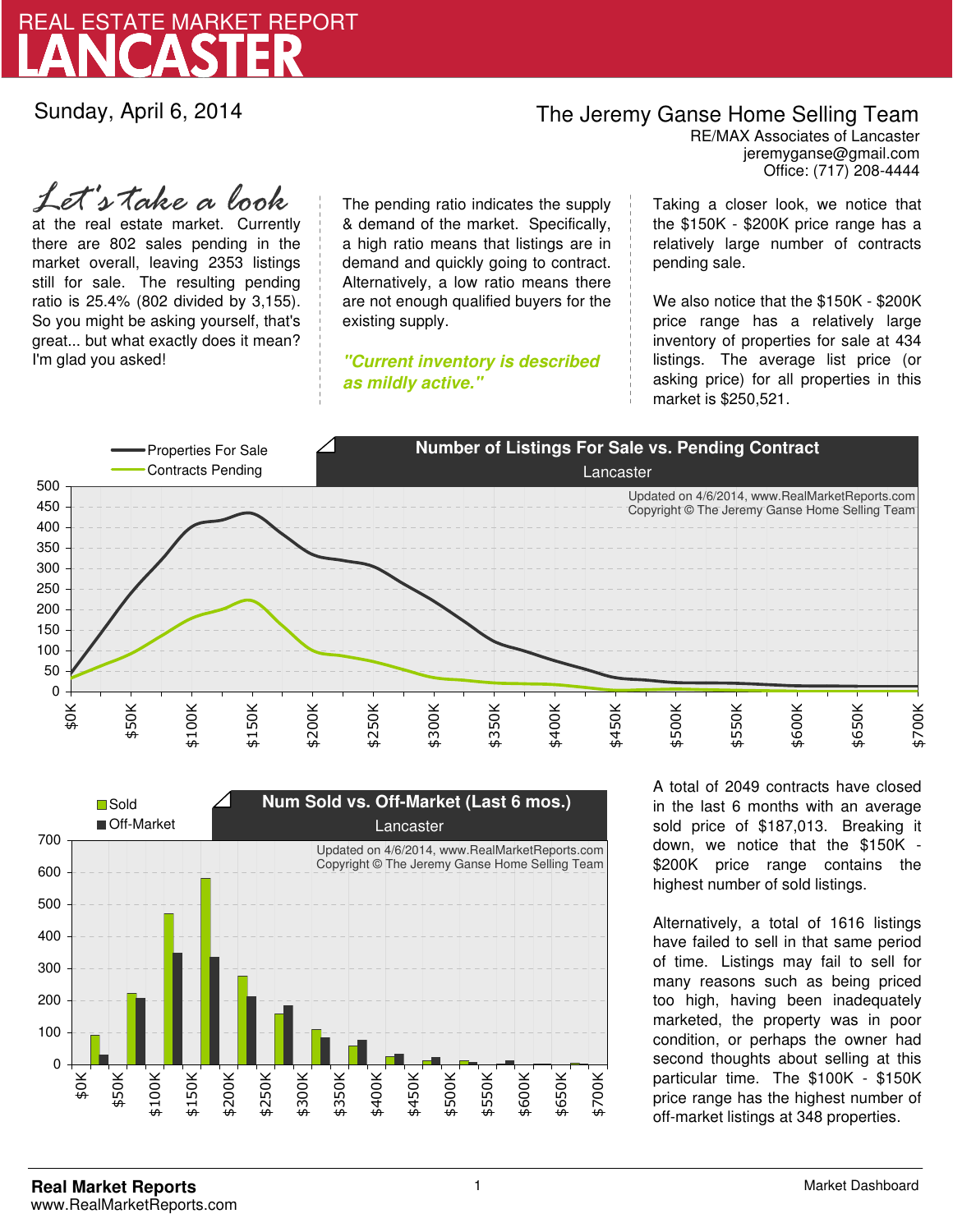

Sunday, April 6, 2014

## The Jeremy Ganse Home Selling Team

jeremyganse@gmail.com RE/MAX Associates of Lancaster Office: (717) 208-4444

at the real estate market. Currently there are 802 sales pending in the market overall, leaving 2353 listings still for sale. The resulting pending ratio is 25.4% (802 divided by 3,155). So you might be asking yourself, that's great... but what exactly does it mean? I'm glad you asked! *Let's take a look*

The pending ratio indicates the supply & demand of the market. Specifically, a high ratio means that listings are in demand and quickly going to contract. Alternatively, a low ratio means there are not enough qualified buyers for the existing supply.

**"Current inventory is described as mildly active."**

Taking a closer look, we notice that the \$150K - \$200K price range has a relatively large number of contracts pending sale.

We also notice that the \$150K - \$200K price range has a relatively large inventory of properties for sale at 434 listings. The average list price (or asking price) for all properties in this market is \$250,521.





A total of 2049 contracts have closed in the last 6 months with an average sold price of \$187,013. Breaking it down, we notice that the \$150K - \$200K price range contains the highest number of sold listings.

Alternatively, a total of 1616 listings have failed to sell in that same period of time. Listings may fail to sell for many reasons such as being priced too high, having been inadequately marketed, the property was in poor condition, or perhaps the owner had second thoughts about selling at this particular time. The \$100K - \$150K price range has the highest number of off-market listings at 348 properties.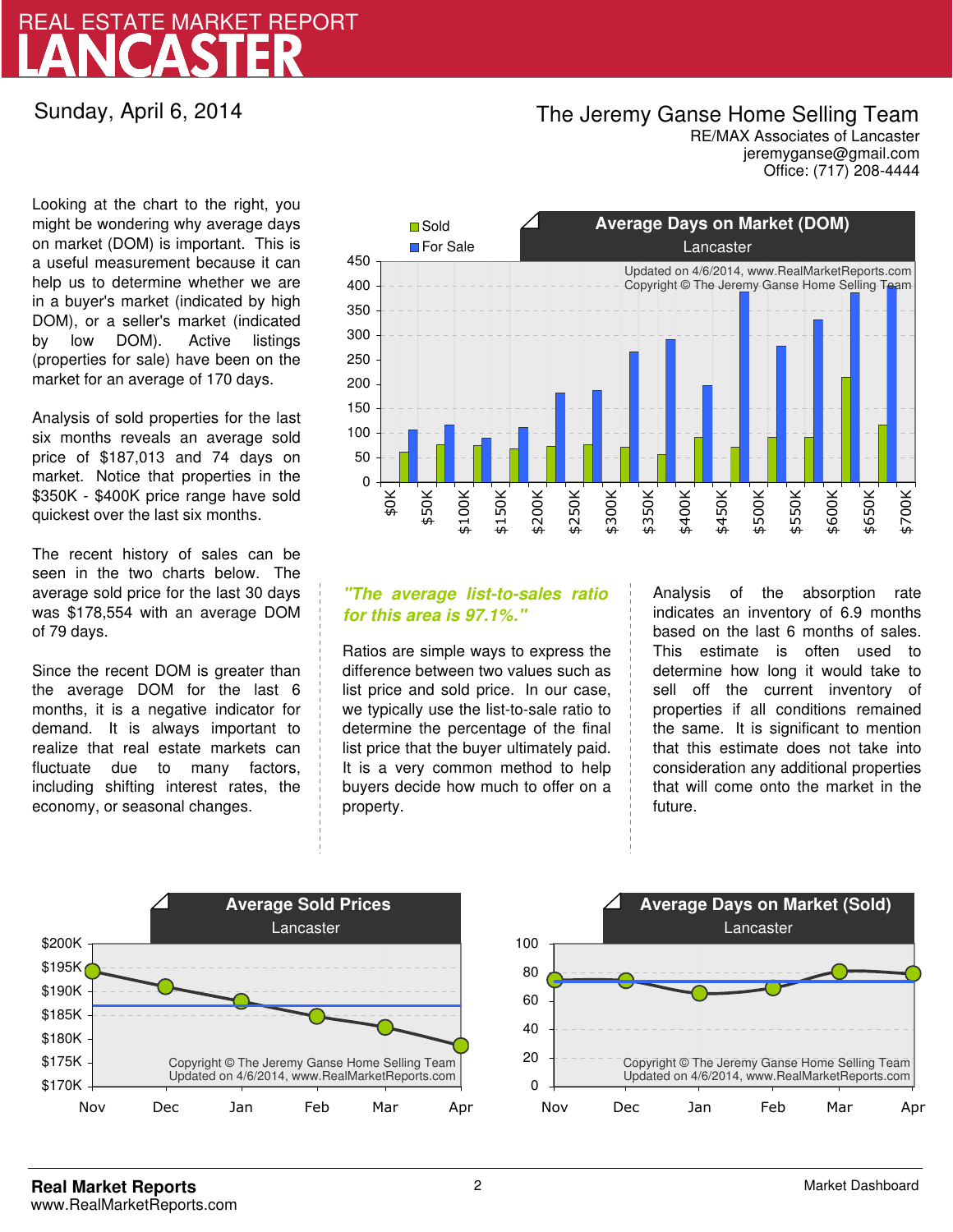# LANCASTER REAL ESTATE MARKET REPORT

Sunday, April 6, 2014

## The Jeremy Ganse Home Selling Team

jeremyganse@gmail.com RE/MAX Associates of Lancaster Office: (717) 208-4444

Looking at the chart to the right, you might be wondering why average days on market (DOM) is important. This is a useful measurement because it can help us to determine whether we are in a buyer's market (indicated by high DOM), or a seller's market (indicated by low DOM). Active listings (properties for sale) have been on the market for an average of 170 days.

Analysis of sold properties for the last six months reveals an average sold price of \$187,013 and 74 days on market. Notice that properties in the \$350K - \$400K price range have sold quickest over the last six months.

The recent history of sales can be seen in the two charts below. The average sold price for the last 30 days was \$178,554 with an average DOM of 79 days.

Since the recent DOM is greater than the average DOM for the last 6 months, it is a negative indicator for demand. It is always important to realize that real estate markets can fluctuate due to many factors, including shifting interest rates, the economy, or seasonal changes.



### **"The average list-to-sales ratio for this area is 97.1%."**

Ratios are simple ways to express the difference between two values such as list price and sold price. In our case, we typically use the list-to-sale ratio to determine the percentage of the final list price that the buyer ultimately paid. It is a very common method to help buyers decide how much to offer on a property.

Analysis of the absorption rate indicates an inventory of 6.9 months based on the last 6 months of sales. This estimate is often used to determine how long it would take to sell off the current inventory of properties if all conditions remained the same. It is significant to mention that this estimate does not take into consideration any additional properties that will come onto the market in the future.



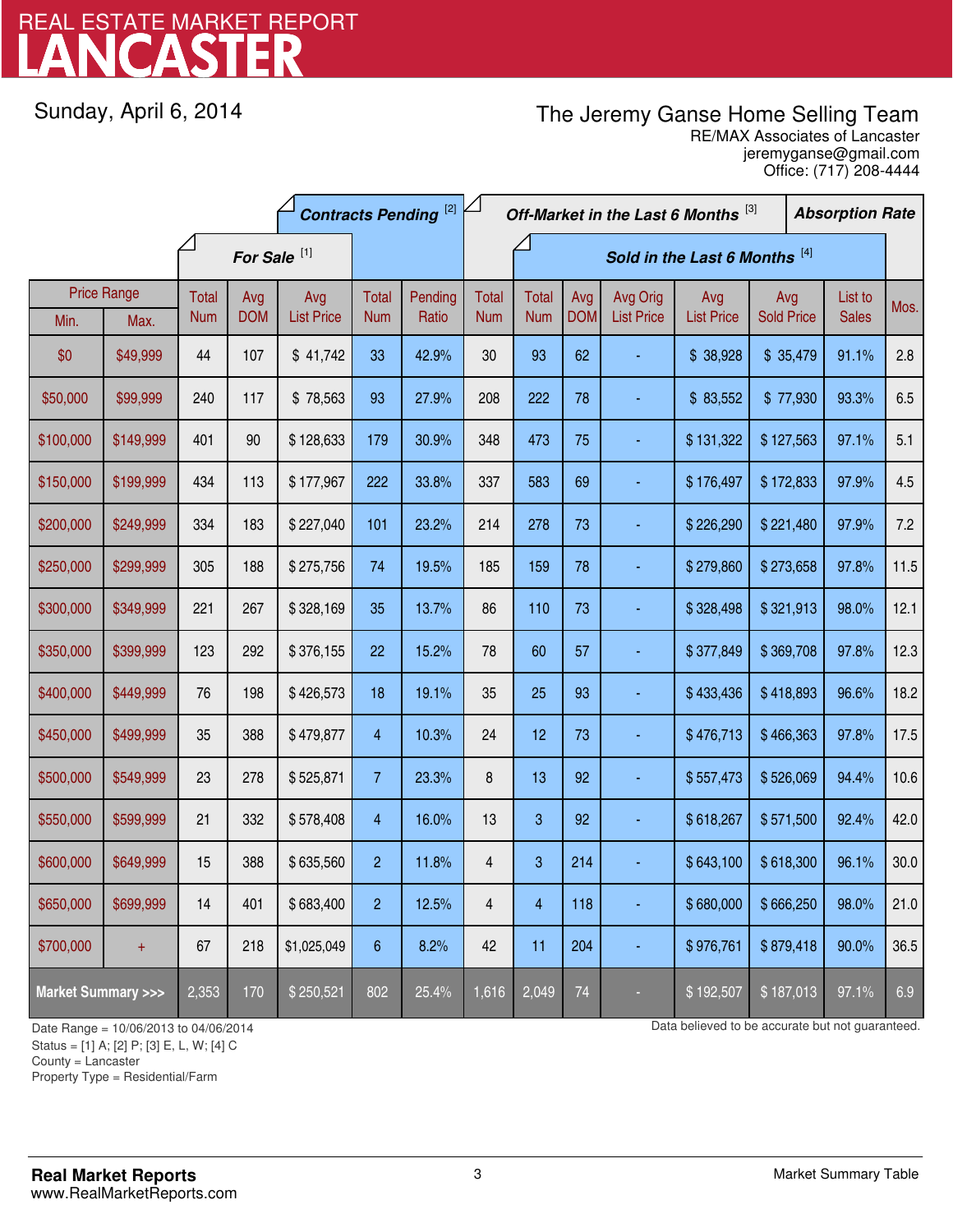# LANCASTER REAL ESTATE MARKET REPORT

Sunday, April 6, 2014

## The Jeremy Ganse Home Selling Team

jeremyganse@gmail.com RE/MAX Associates of Lancaster Office: (717) 208-4444

|                                    |                    | <b>Contracts Pending [2]</b> |                         |                   |                 | Off-Market in the Last 6 Months [3] |                               |              |            |                   |                   | <b>Absorption Rate</b> |  |              |      |
|------------------------------------|--------------------|------------------------------|-------------------------|-------------------|-----------------|-------------------------------------|-------------------------------|--------------|------------|-------------------|-------------------|------------------------|--|--------------|------|
|                                    |                    |                              | For Sale <sup>[1]</sup> |                   |                 |                                     | Sold in the Last 6 Months [4] |              |            |                   |                   |                        |  |              |      |
|                                    | <b>Price Range</b> | Total                        | Avg                     | Avg               | Total           | Pending                             | <b>Total</b>                  | <b>Total</b> | Avg        | Avg Orig          | Avg               | Avg                    |  | List to      | Mos. |
| Min.                               | Max.               | <b>Num</b>                   | <b>DOM</b>              | <b>List Price</b> | <b>Num</b>      | Ratio                               | <b>Num</b>                    | <b>Num</b>   | <b>DOM</b> | <b>List Price</b> | <b>List Price</b> | <b>Sold Price</b>      |  | <b>Sales</b> |      |
| \$0                                | \$49,999           | 44                           | 107                     | \$41,742          | 33              | 42.9%                               | 30                            | 93           | 62         |                   | \$38,928          | \$35,479               |  | 91.1%        | 2.8  |
| \$50,000                           | \$99,999           | 240                          | 117                     | \$78,563          | 93              | 27.9%                               | 208                           | 222          | 78         |                   | \$83,552          | \$77,930               |  | 93.3%        | 6.5  |
| \$100,000                          | \$149,999          | 401                          | 90                      | \$128,633         | 179             | 30.9%                               | 348                           | 473          | 75         |                   | \$131,322         | \$127,563              |  | 97.1%        | 5.1  |
| \$150,000                          | \$199,999          | 434                          | 113                     | \$177,967         | 222             | 33.8%                               | 337                           | 583          | 69         |                   | \$176,497         | \$172,833              |  | 97.9%        | 4.5  |
| \$200,000                          | \$249,999          | 334                          | 183                     | \$227,040         | 101             | 23.2%                               | 214                           | 278          | 73         |                   | \$226,290         | \$221,480              |  | 97.9%        | 7.2  |
| \$250,000                          | \$299,999          | 305                          | 188                     | \$275,756         | 74              | 19.5%                               | 185                           | 159          | 78         |                   | \$279,860         | \$273,658              |  | 97.8%        | 11.5 |
| \$300,000                          | \$349,999          | 221                          | 267                     | \$328,169         | 35              | 13.7%                               | 86                            | 110          | 73         |                   | \$328,498         | \$321,913              |  | 98.0%        | 12.1 |
| \$350,000                          | \$399,999          | 123                          | 292                     | \$376,155         | 22              | 15.2%                               | 78                            | 60           | 57         |                   | \$377,849         | \$369,708              |  | 97.8%        | 12.3 |
| \$400,000                          | \$449,999          | 76                           | 198                     | \$426,573         | 18              | 19.1%                               | 35                            | 25           | 93         |                   | \$433,436         | \$418,893              |  | 96.6%        | 18.2 |
| \$450,000                          | \$499,999          | 35                           | 388                     | \$479,877         | 4               | 10.3%                               | 24                            | 12           | 73         | ä,                | \$476,713         | \$466,363              |  | 97.8%        | 17.5 |
| \$500,000                          | \$549,999          | 23                           | 278                     | \$525,871         | $\overline{7}$  | 23.3%                               | 8                             | 13           | 92         |                   | \$557,473         | \$526,069              |  | 94.4%        | 10.6 |
| \$550,000                          | \$599,999          | 21                           | 332                     | \$578,408         | $\overline{4}$  | 16.0%                               | 13                            | 3            | 92         |                   | \$618,267         | \$571,500              |  | 92.4%        | 42.0 |
| \$600,000                          | \$649,999          | 15                           | 388                     | \$635,560         | $\overline{2}$  | 11.8%                               | $\overline{\mathbf{4}}$       | 3            | 214        |                   | \$643,100         | \$618,300              |  | 96.1%        | 30.0 |
| \$650,000                          | \$699,999          | 14                           | 401                     | \$683,400         | $\overline{c}$  | 12.5%                               | 4                             | 4            | 118        |                   | \$680,000         | \$666,250              |  | 98.0%        | 21.0 |
| \$700,000                          | $+$                | 67                           | 218                     | \$1,025,049       | $6\phantom{.}6$ | 8.2%                                | 42                            | 11           | 204        |                   | \$976,761         | \$879,418              |  | 90.0%        | 36.5 |
| <b>Market Summary &gt;&gt;&gt;</b> |                    | 2,353                        | 170                     | \$250,521         | 802             | 25.4%                               | 1,616                         | 2,049        | 74         |                   | \$192,507         | \$187,013              |  | 97.1%        | 6.9  |

Status = [1] A; [2] P; [3] E, L, W; [4] C

County = Lancaster

1

Property Type = Residential/Farm

Date Range = 10/06/2013 to 04/06/2014 Date But not guaranteed.